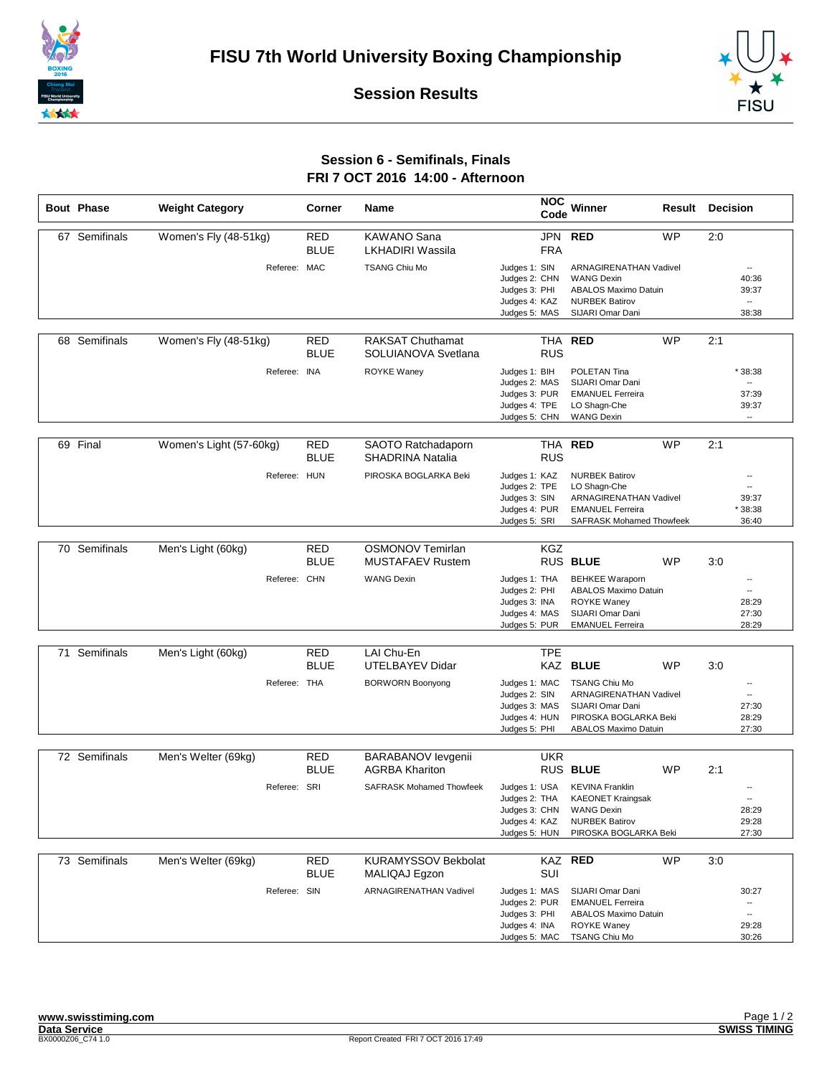





## **Session 6 - Semifinals, Finals FRI 7 OCT 2016 14:00 - Afternoon**

| <b>Bout Phase</b> | <b>Weight Category</b>  | Corner      | Name                            | <b>NOC</b><br>Code | Winner                          | Result | <b>Decision</b>          |
|-------------------|-------------------------|-------------|---------------------------------|--------------------|---------------------------------|--------|--------------------------|
| 67 Semifinals     | Women's Fly (48-51kg)   | <b>RED</b>  | <b>KAWANO Sana</b>              | JPN                | <b>WP</b><br><b>RED</b>         | 2:0    |                          |
|                   |                         |             |                                 |                    |                                 |        |                          |
|                   |                         | <b>BLUE</b> | <b>LKHADIRI Wassila</b>         | <b>FRA</b>         |                                 |        |                          |
|                   | Referee: MAC            |             | <b>TSANG Chiu Mo</b>            | Judges 1: SIN      | ARNAGIRENATHAN Vadivel          |        | $\overline{\phantom{a}}$ |
|                   |                         |             |                                 | Judges 2: CHN      | <b>WANG Dexin</b>               |        | 40:36                    |
|                   |                         |             |                                 | Judges 3: PHI      | <b>ABALOS Maximo Datuin</b>     |        | 39:37                    |
|                   |                         |             |                                 | Judges 4: KAZ      | <b>NURBEK Batirov</b>           |        | $\overline{\phantom{a}}$ |
|                   |                         |             |                                 | Judges 5: MAS      | SIJARI Omar Dani                |        | 38:38                    |
|                   |                         |             |                                 |                    |                                 |        |                          |
| 68 Semifinals     | Women's Fly (48-51kg)   | <b>RED</b>  | <b>RAKSAT Chuthamat</b>         | <b>THA</b>         | <b>WP</b><br><b>RED</b>         | 2:1    |                          |
|                   |                         | <b>BLUE</b> | SOLUIANOVA Svetlana             | <b>RUS</b>         |                                 |        |                          |
|                   |                         |             |                                 |                    |                                 |        |                          |
|                   | Referee: INA            |             | ROYKE Waney                     | Judges 1: BIH      | POLETAN Tina                    |        | *38:38                   |
|                   |                         |             |                                 | Judges 2: MAS      | SIJARI Omar Dani                |        |                          |
|                   |                         |             |                                 | Judges 3: PUR      | <b>EMANUEL Ferreira</b>         |        | 37:39                    |
|                   |                         |             |                                 | Judges 4: TPE      | LO Shagn-Che                    |        | 39:37                    |
|                   |                         |             |                                 | Judges 5: CHN      | <b>WANG Dexin</b>               |        | $\overline{\phantom{a}}$ |
|                   |                         |             |                                 |                    |                                 |        |                          |
| 69 Final          | Women's Light (57-60kg) | RED         | SAOTO Ratchadaporn              | <b>THA</b>         | <b>RED</b><br><b>WP</b>         | 2:1    |                          |
|                   |                         | <b>BLUE</b> |                                 | <b>RUS</b>         |                                 |        |                          |
|                   |                         |             | <b>SHADRINA Natalia</b>         |                    |                                 |        |                          |
|                   | Referee: HUN            |             | PIROSKA BOGLARKA Beki           | Judges 1: KAZ      | <b>NURBEK Batirov</b>           |        | --                       |
|                   |                         |             |                                 | Judges 2: TPE      | LO Shagn-Che                    |        | --                       |
|                   |                         |             |                                 | Judges 3: SIN      | <b>ARNAGIRENATHAN Vadivel</b>   |        | 39:37                    |
|                   |                         |             |                                 | Judges 4: PUR      | <b>EMANUEL Ferreira</b>         |        | \$38:38                  |
|                   |                         |             |                                 | Judges 5: SRI      | <b>SAFRASK Mohamed Thowfeek</b> |        | 36:40                    |
|                   |                         |             |                                 |                    |                                 |        |                          |
| 70 Semifinals     | Men's Light (60kg)      | <b>RED</b>  | <b>OSMONOV Temirlan</b>         | <b>KGZ</b>         |                                 |        |                          |
|                   |                         | <b>BLUE</b> | <b>MUSTAFAEV Rustem</b>         |                    | RUS BLUE<br>WP                  | 3:0    |                          |
|                   |                         |             |                                 |                    |                                 |        |                          |
|                   | Referee: CHN            |             | <b>WANG Dexin</b>               | Judges 1: THA      | <b>BEHKEE Waraporn</b>          |        | --                       |
|                   |                         |             |                                 | Judges 2: PHI      | <b>ABALOS Maximo Datuin</b>     |        | $\overline{a}$           |
|                   |                         |             |                                 | Judges 3: INA      | <b>ROYKE Waney</b>              |        | 28:29                    |
|                   |                         |             |                                 | Judges 4: MAS      | SIJARI Omar Dani                |        | 27:30                    |
|                   |                         |             |                                 | Judges 5: PUR      | <b>EMANUEL Ferreira</b>         |        | 28:29                    |
|                   |                         |             |                                 |                    |                                 |        |                          |
| 71 Semifinals     | Men's Light (60kg)      | <b>RED</b>  | LAI Chu-En                      | <b>TPE</b>         |                                 |        |                          |
|                   |                         | <b>BLUE</b> | UTELBAYEV Didar                 |                    | <b>KAZ BLUE</b><br>WP           | 3:0    |                          |
|                   | Referee: THA            |             | <b>BORWORN Boonyong</b>         | Judges 1: MAC      | <b>TSANG Chiu Mo</b>            |        | $\overline{\phantom{a}}$ |
|                   |                         |             |                                 | Judges 2: SIN      | <b>ARNAGIRENATHAN Vadivel</b>   |        | $\overline{\phantom{a}}$ |
|                   |                         |             |                                 | Judges 3: MAS      | SIJARI Omar Dani                |        | 27:30                    |
|                   |                         |             |                                 | Judges 4: HUN      | PIROSKA BOGLARKA Beki           |        | 28:29                    |
|                   |                         |             |                                 | Judges 5: PHI      | <b>ABALOS Maximo Datuin</b>     |        | 27:30                    |
|                   |                         |             |                                 |                    |                                 |        |                          |
|                   |                         |             |                                 | <b>UKR</b>         |                                 |        |                          |
| 72 Semifinals     | Men's Welter (69kg)     | <b>RED</b>  | <b>BARABANOV levgenii</b>       |                    |                                 |        |                          |
|                   |                         | <b>BLUE</b> | <b>AGRBA Khariton</b>           |                    | RUS BLUE<br>WP                  | 2:1    |                          |
|                   | Referee: SRI            |             | <b>SAFRASK Mohamed Thowfeek</b> | Judges 1: USA      | <b>KEVINA Franklin</b>          |        |                          |
|                   |                         |             |                                 | Judges 2: THA      | <b>KAEONET Kraingsak</b>        |        | $\overline{\phantom{a}}$ |
|                   |                         |             |                                 | Judges 3: CHN      | <b>WANG Dexin</b>               |        | 28:29                    |
|                   |                         |             |                                 | Judges 4: KAZ      | <b>NURBEK Batirov</b>           |        | 29:28                    |
|                   |                         |             |                                 | Judges 5: HUN      | PIROSKA BOGLARKA Beki           |        | 27:30                    |
|                   |                         |             |                                 |                    |                                 |        |                          |
| 73 Semifinals     | Men's Welter (69kg)     | <b>RED</b>  | <b>KURAMYSSOV Bekbolat</b>      |                    | KAZ RED<br>WP                   | 3:0    |                          |
|                   |                         |             |                                 |                    |                                 |        |                          |
|                   |                         | <b>BLUE</b> | MALIQAJ Egzon                   | SUI                |                                 |        |                          |
|                   | Referee: SIN            |             | <b>ARNAGIRENATHAN Vadivel</b>   | Judges 1: MAS      | SIJARI Omar Dani                |        | 30:27                    |
|                   |                         |             |                                 | Judges 2: PUR      | <b>EMANUEL Ferreira</b>         |        | --                       |
|                   |                         |             |                                 | Judges 3: PHI      | ABALOS Maximo Datuin            |        | --                       |
|                   |                         |             |                                 | Judges 4: INA      | <b>ROYKE Waney</b>              |        | 29:28                    |
|                   |                         |             |                                 | Judges 5: MAC      | <b>TSANG Chiu Mo</b>            |        | 30:26                    |